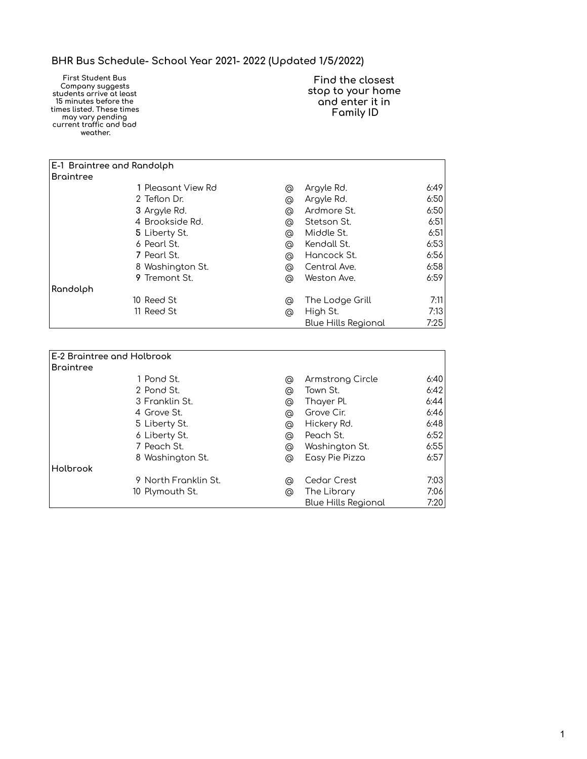## **BHR Bus Schedule- School Year 2021- 2022 (Updated 1/5/2022)**

**First Student Bus**  Company suggests **students arrive at least 15 minutes beÿore the times listed. These times may vary pendinĀ current traÿÿic and bad weather.**

**Find the closest stop to your home and enter it in Family ID**

| <b>E-1 Braintree and Randolph</b> |                    |   |                            |      |
|-----------------------------------|--------------------|---|----------------------------|------|
| <b>Braintree</b>                  |                    |   |                            |      |
|                                   | 1 Pleasant View Rd | @ | Argyle Rd.                 | 6:49 |
|                                   | 2 Teflon Dr.       | ⊚ | Argyle Rd.                 | 6:50 |
|                                   | 3 Argyle Rd.       | @ | Ardmore St.                | 6:50 |
|                                   | 4 Brookside Rd.    | @ | Stetson St.                | 6:51 |
|                                   | 5 Liberty St.      | @ | Middle St.                 | 6:51 |
|                                   | 6 Pearl St.        | @ | Kendall St.                | 6:53 |
|                                   | 7 Pearl St.        | ര | Hancock St.                | 6:56 |
|                                   | 8 Washington St.   | @ | Central Ave.               | 6:58 |
|                                   | 9 Tremont St.      | @ | Weston Ave.                | 6:59 |
| Randolph                          |                    |   |                            |      |
|                                   | 10 Reed St         | @ | The Lodge Grill            | 7:11 |
|                                   | 11 Reed St         | @ | High St.                   | 7:13 |
|                                   |                    |   | <b>Blue Hills Regional</b> | 7:25 |

| E-2 Braintree and Holbrook |   |                            |      |
|----------------------------|---|----------------------------|------|
| <b>Braintree</b>           |   |                            |      |
| 1 Pond St.                 | ⊚ | Armstrong Circle           | 6:40 |
| 2 Pond St.                 | ⊚ | Town St.                   | 6:42 |
| 3 Franklin St.             | ⊚ | Thayer Pl.                 | 6:44 |
| 4 Grove St.                | @ | Grove Cir.                 | 6:46 |
| 5 Liberty St.              | ⊚ | Hickery Rd.                | 6:48 |
| 6 Liberty St.              | ⊚ | Peach St.                  | 6:52 |
| 7 Peach St.                | ⊚ | Washington St.             | 6:55 |
| 8 Washington St.           | @ | Easy Pie Pizza             | 6:57 |
| Holbrook                   |   |                            |      |
| 9 North Franklin St.       | ⊚ | <b>Cedar Crest</b>         | 7:03 |
| 10 Plymouth St.            | ര | The Library                | 7:06 |
|                            |   | <b>Blue Hills Regional</b> | 7:20 |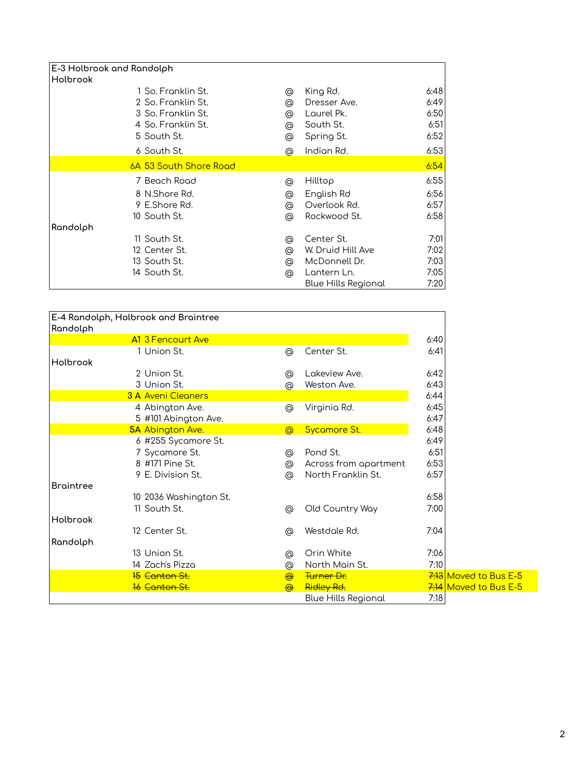| <b>E-3 Holbrook and Randolph</b> |   |                            |      |
|----------------------------------|---|----------------------------|------|
| Holbrook                         |   |                            |      |
| 1 So. Franklin St.               | @ | King Rd.                   | 6:48 |
| 2 So. Franklin St.               | @ | Dresser Ave.               | 6:49 |
| 3 So. Franklin St.               | @ | Laurel Pk.                 | 6:50 |
| 4 So. Franklin St.               | @ | South St.                  | 6:51 |
| 5 South St.                      | ⊚ | Spring St.                 | 6:52 |
| 6 South St.                      | ര | Indian Rd.                 | 6:53 |
| 6A 53 South Shore Road           |   |                            | 6:54 |
| 7 Beach Road                     | ⊚ | Hilltop                    | 6:55 |
| 8 N.Shore Rd.                    | ⊚ | English Rd                 | 6:56 |
| 9 E.Shore Rd.                    | @ | Overlook Rd.               | 6:57 |
| 10 South St.                     | ⊚ | Rockwood St.               | 6:58 |
| Randolph                         |   |                            |      |
| 11 South St.                     | ⊚ | Center St.                 | 7:01 |
| 12 Center St.                    | @ | W. Druid Hill Ave          | 7:02 |
| 13 South St.                     | @ | McDonnell Dr.              | 7:03 |
| 14 South St.                     | ⊚ | Lantern Ln.                | 7:05 |
|                                  |   | <b>Blue Hills Regional</b> | 7:20 |

| Randolph  | E-4 Randolph, Holbrook and Braintree |                 |                            |      |                                      |
|-----------|--------------------------------------|-----------------|----------------------------|------|--------------------------------------|
|           | A1 3 Fencourt Ave                    |                 |                            | 6:40 |                                      |
|           | 1 Union St.                          | ⊚               | Center St.                 | 6:41 |                                      |
| Holbrook  |                                      |                 |                            |      |                                      |
|           | 2 Union St.                          | ⊚               | Lakeview Ave.              | 6:42 |                                      |
|           | 3 Union St.                          | @               | Weston Ave.                | 6:43 |                                      |
|           | <b>3 A Aveni Cleaners</b>            |                 |                            | 6:44 |                                      |
|           | 4 Abington Ave.                      | ⊚               | Virginia Rd.               | 6:45 |                                      |
|           | 5 #101 Abington Ave.                 |                 |                            | 6:47 |                                      |
|           | <b>5A Abington Ave.</b>              | $\circledcirc$  | Sycamore St.               | 6:48 |                                      |
|           | 6 #255 Sycamore St.                  |                 |                            | 6:49 |                                      |
|           | 7 Sycamore St.                       | @               | Pond St.                   | 6:51 |                                      |
|           | 8 #171 Pine St.                      | $^{\copyright}$ | Across from apartment      | 6:53 |                                      |
|           | 9 E. Division St.                    | @               | North Franklin St.         | 6:57 |                                      |
| Braintree |                                      |                 |                            |      |                                      |
|           | 10 2036 Washington St.               |                 |                            | 6:58 |                                      |
|           | 11 South St.                         | ⊚               | Old Country Way            | 7:00 |                                      |
| Holbrook  |                                      |                 |                            |      |                                      |
|           | 12 Center St.                        | @               | Westdale Rd.               | 7:04 |                                      |
| Randolph  |                                      |                 |                            |      |                                      |
|           | 13 Union St.                         | ⊚               | Orin White                 | 7:06 |                                      |
|           | 14 Zach's Pizza                      | ⊚               | North Main St.             | 7:10 |                                      |
|           | 15 Canton St.                        | $\bigoplus$     | Turner Dr.                 |      | 7:13 Moved to Bus E-5                |
|           | <b>16 Canton St.</b>                 | $\bigoplus$     | Ridley Rd.                 |      | $\frac{7.14}{1.11}$ Moved to Bus E-5 |
|           |                                      |                 | <b>Blue Hills Regional</b> | 7:18 |                                      |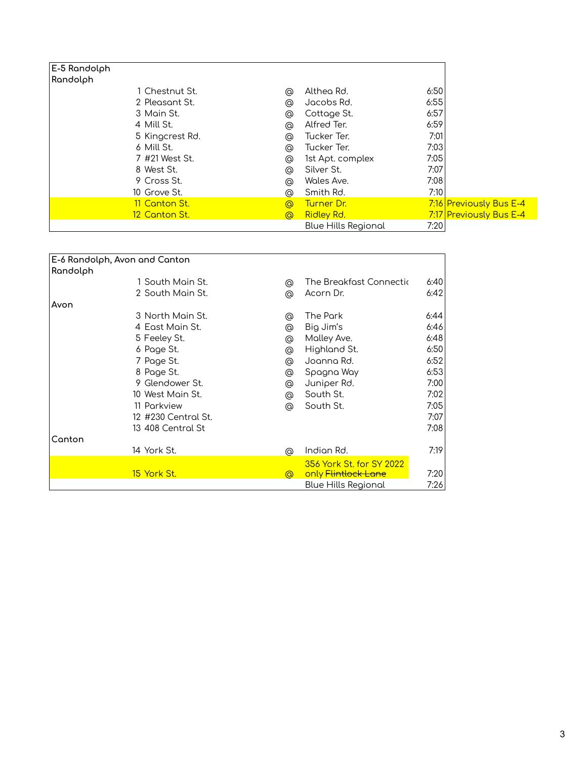| E-5 Randolph    |                |                            |      |                         |
|-----------------|----------------|----------------------------|------|-------------------------|
| Randolph        |                |                            |      |                         |
| 1 Chestnut St.  | ⊚              | Althea Rd.                 | 6:50 |                         |
| 2 Pleasant St.  | ⊚              | Jacobs Rd.                 | 6:55 |                         |
| 3 Main St.      | @              | Cottage St.                | 6:57 |                         |
| 4 Mill St.      | ⊚              | Alfred Ter.                | 6:59 |                         |
| 5 Kingcrest Rd. | ⊚              | Tucker Ter.                | 7:01 |                         |
| 6 Mill St.      | ⊚              | Tucker Ter.                | 7:03 |                         |
| 7 #21 West St.  | ⊚              | 1st Apt. complex           | 7:05 |                         |
| 8 West St.      | ⊚              | Silver St.                 | 7:07 |                         |
| 9 Cross St.     | ⊚              | Wales Ave.                 | 7:08 |                         |
| 10 Grove St.    | ര              | Smith Rd.                  | 7:10 |                         |
| 11 Canton St.   | $\circledcirc$ | Turner Dr.                 |      | 7:16 Previously Bus E-4 |
| 12 Canton St.   | $\circledcirc$ | <b>Ridley Rd.</b>          |      | 7:17 Previously Bus E-4 |
|                 |                | <b>Blue Hills Regional</b> | 7:20 |                         |

| E-6 Randolph, Avon and Canton |                     |                |                          |      |
|-------------------------------|---------------------|----------------|--------------------------|------|
| Randolph                      |                     |                |                          |      |
|                               |                     |                |                          |      |
|                               | 1 South Main St.    | ⊚              | The Breakfast Connectic  | 6:40 |
|                               | 2 South Main St.    | ⊚              | Acorn Dr.                | 6:42 |
| Avon                          |                     |                |                          |      |
|                               | 3 North Main St.    | ⊚              | The Park                 | 6:44 |
|                               | 4 East Main St.     | @              | Big Jim's                | 6:46 |
|                               | 5 Feeley St.        | @              | Molley Ave.              | 6:48 |
|                               | 6 Page St.          | @              | Highland St.             | 6:50 |
|                               | 7 Page St.          | @              | Joanna Rd.               | 6:52 |
|                               | 8 Page St.          | @              | Spagna Way               | 6:53 |
|                               | 9 Glendower St.     | @              | Juniper Rd.              | 7:00 |
|                               | 10 West Main St.    | @              | South St.                | 7:02 |
|                               | 11 Parkview         | ⊚              | South St.                | 7:05 |
|                               | 12 #230 Central St. |                |                          | 7:07 |
|                               | 13 408 Central St   |                |                          | 7:08 |
| Canton                        |                     |                |                          |      |
|                               | 14 York St.         | ⊚              | Indian Rd.               | 7:19 |
|                               |                     |                | 356 York St. for SY 2022 |      |
|                               | 15 York St.         | $\circledcirc$ | only Flintlock Lane      | 7:20 |
|                               |                     |                | Blue Hills Regional      | 7:26 |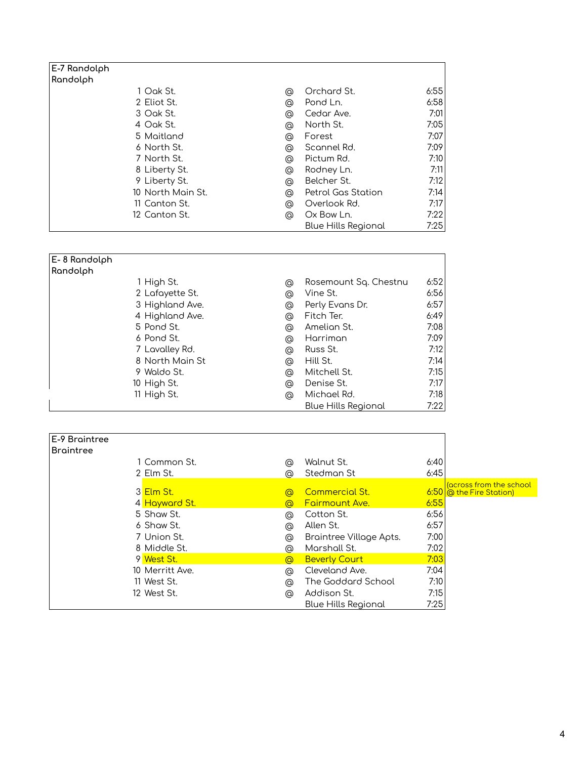| E-7 Randolph      |   |                            |      |
|-------------------|---|----------------------------|------|
| Randolph          |   |                            |      |
| 1 Oak St.         | ⊚ | Orchard St.                | 6:55 |
| 2 Eliot St.       | ⊚ | Pond Ln.                   | 6:58 |
| 3 Oak St.         | ⊚ | Cedar Ave.                 | 7:01 |
| 4 Oak St.         | ⊚ | North St.                  | 7:05 |
| 5 Maitland        | ⊚ | Forest                     | 7:07 |
| 6 North St.       | ⊚ | Scannel Rd.                | 7:09 |
| 7 North St.       | ⊚ | Pictum Rd.                 | 7:10 |
| 8 Liberty St.     | ⊚ | Rodney Ln.                 | 7:11 |
| 9 Liberty St.     | ⊚ | Belcher St.                | 7:12 |
| 10 North Main St. | ⊚ | Petrol Gas Station         | 7:14 |
| 11 Canton St.     | ⊚ | Overlook Rd.               | 7:17 |
| 12 Canton St.     | ര | Ox Bow Ln.                 | 7:22 |
|                   |   | <b>Blue Hills Regional</b> | 7:25 |

| E-8 Randolph    |   |                            |      |
|-----------------|---|----------------------------|------|
| Randolph        |   |                            |      |
| 1 High St.      | ⊚ | Rosemount Sq. Chestnu      | 6:52 |
| 2 Lafayette St. | ⊚ | Vine St.                   | 6:56 |
| 3 Highland Ave. | ⊚ | Perly Evans Dr.            | 6:57 |
| 4 Highland Ave. | ⊚ | Fitch Ter.                 | 6:49 |
| 5 Pond St.      | ⊚ | Amelian St.                | 7:08 |
| 6 Pond St.      | ⊚ | Harriman                   | 7:09 |
| 7 Lavalley Rd.  | ⊚ | Russ St.                   | 7:12 |
| 8 North Main St | ⊚ | Hill St.                   | 7:14 |
| 9 Waldo St.     | ⊚ | Mitchell St.               | 7:15 |
| 10 High St.     | ⊚ | Denise St.                 | 7:17 |
| 11 High St.     | ⊚ | Michael Rd.                | 7:18 |
|                 |   | <b>Blue Hills Regional</b> | 7:22 |

| <b>E-9 Braintree</b> |                 |                |                         |      |                                                       |
|----------------------|-----------------|----------------|-------------------------|------|-------------------------------------------------------|
| Braintree            |                 |                |                         |      |                                                       |
|                      | 1 Common St.    | @              | Walnut St.              | 6:40 |                                                       |
|                      | 2 Elm St.       | ര              | Stedman St              | 6:45 |                                                       |
|                      | 3 Elm St.       | $\circledcirc$ | <b>Commercial St.</b>   |      | carross from the school<br>$6:50$ @ the Fire Station) |
|                      | 4 Hayward St.   | ര              | <b>Fairmount Ave.</b>   | 6:55 |                                                       |
|                      | 5 Shaw St.      | ⊚              | Cotton St.              | 6:56 |                                                       |
|                      | 6 Shaw St.      | ⊚              | Allen St.               | 6:57 |                                                       |
|                      | 7 Union St.     | @              | Braintree Village Apts. | 7:00 |                                                       |
|                      | 8 Middle St.    | ര              | Marshall St.            | 7:02 |                                                       |
|                      | 9 West St.      | $\circledcirc$ | <b>Beverly Court</b>    | 7:03 |                                                       |
|                      | 10 Merritt Ave. | ⊚              | Cleveland Ave.          | 7:04 |                                                       |
|                      | 11 West St.     | ⊚              | The Goddard School      | 7:10 |                                                       |
|                      | 12 West St.     | $\circledcirc$ | Addison St.             | 7:15 |                                                       |
|                      |                 |                | Blue Hills Regional     | 7:25 |                                                       |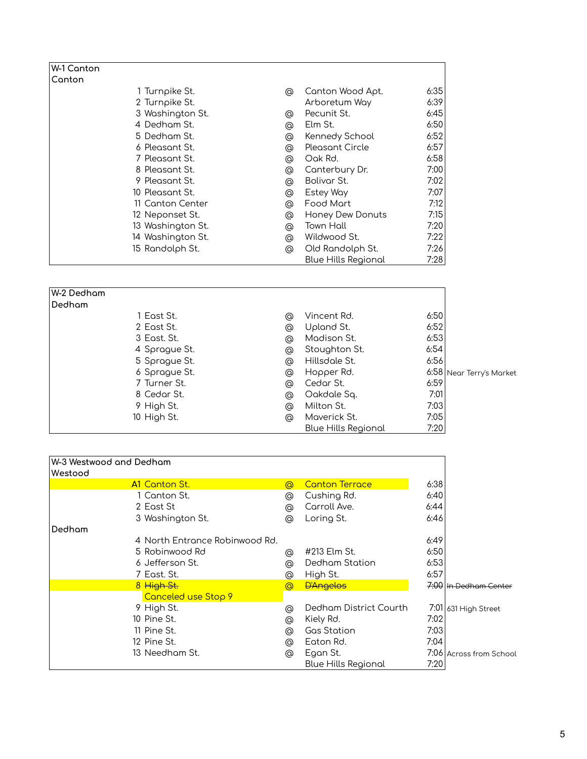| W-1 Canton        |   |                            |      |
|-------------------|---|----------------------------|------|
| Canton            |   |                            |      |
| 1 Turnpike St.    | ⊚ | Canton Wood Apt.           | 6:35 |
| 2 Turnpike St.    |   | Arboretum Way              | 6:39 |
| 3 Washington St.  | ⊚ | Pecunit St.                | 6:45 |
| 4 Dedham St.      | ⊚ | Elm St.                    | 6:50 |
| 5 Dedham St.      | @ | Kennedy School             | 6:52 |
| 6 Pleasant St.    | @ | <b>Pleasant Circle</b>     | 6:57 |
| 7 Pleasant St.    | ⊚ | Oak Rd.                    | 6:58 |
| 8 Pleasant St.    | ⊚ | Canterbury Dr.             | 7:00 |
| 9 Pleasant St.    | ⊚ | Bolivar St.                | 7:02 |
| 10 Pleasant St.   | ⊚ | Estey Way                  | 7:07 |
| 11 Canton Center  | @ | Food Mart                  | 7:12 |
| 12 Neponset St.   | @ | Honey Dew Donuts           | 7:15 |
| 13 Washington St. | ⊚ | Town Hall                  | 7:20 |
| 14 Washington St. | ⊚ | Wildwood St.               | 7:22 |
| 15 Randolph St.   | ⊚ | Old Randolph St.           | 7:26 |
|                   |   | <b>Blue Hills Regional</b> | 7:28 |

| W-2 Dedham |               |   |                     |      |                          |
|------------|---------------|---|---------------------|------|--------------------------|
| Dedham     |               |   |                     |      |                          |
|            | 1 East St.    | ⊚ | Vincent Rd.         | 6:50 |                          |
|            | 2 East St.    | ⊚ | Upland St.          | 6:52 |                          |
|            | 3 East. St.   | ⊚ | Madison St.         | 6:53 |                          |
|            | 4 Sprague St. | ⊚ | Stoughton St.       | 6:54 |                          |
|            | 5 Sprague St. | ⊚ | Hillsdale St.       | 6:56 |                          |
|            | 6 Sprague St. | ⊚ | Hopper Rd.          |      | 6:58 Near Terry's Market |
|            | 7 Turner St.  | @ | Cedar St.           | 6:59 |                          |
|            | 8 Cedar St.   | ⊚ | Oakdale Sq.         | 7:01 |                          |
|            | 9 High St.    | ⊚ | Milton St.          | 7:03 |                          |
|            | 10 High St.   | ⊚ | Maverick St.        | 7:05 |                          |
|            |               |   | Blue Hills Regional | 7:20 |                          |

|         | W-3 Westwood and Dedham        |                |                            |      |                         |
|---------|--------------------------------|----------------|----------------------------|------|-------------------------|
| Westood |                                |                |                            |      |                         |
|         | <b>A1 Canton St.</b>           | $\circledcirc$ | <b>Canton Terrace</b>      | 6:38 |                         |
|         | 1 Canton St.                   | ⊚              | Cushing Rd.                | 6:40 |                         |
|         | 2 East St                      | ⊚              | Carroll Ave.               | 6:44 |                         |
|         | 3 Washington St.               | @              | Loring St.                 | 6:46 |                         |
| Dedham  |                                |                |                            |      |                         |
|         | 4 North Entrance Robinwood Rd. |                |                            | 6:49 |                         |
|         | 5 Robinwood Rd                 | ⊚              | #213 Elm St.               | 6:50 |                         |
|         | 6 Jefferson St.                | @              | Dedham Station             | 6:53 |                         |
|         | 7 East. St.                    | ര              | High St.                   | 6:57 |                         |
|         | 8 High St.                     | $\circledcirc$ | <b>D'Angelos</b>           |      | 7:00 In Dedham Center   |
|         | Canceled use Stop 9            |                |                            |      |                         |
|         | 9 High St.                     | ര              | Dedham District Courth     |      | 7:01 631 High Street    |
|         | 10 Pine St.                    | ⊚              | Kiely Rd.                  | 7:02 |                         |
|         | 11 Pine St.                    | ര              | <b>Gas Station</b>         | 7:03 |                         |
|         | 12 Pine St.                    | @              | Eaton Rd.                  | 7:04 |                         |
|         | 13 Needham St.                 | ⊚              | Egan St.                   |      | 7:06 Across from School |
|         |                                |                | <b>Blue Hills Regional</b> | 7:20 |                         |